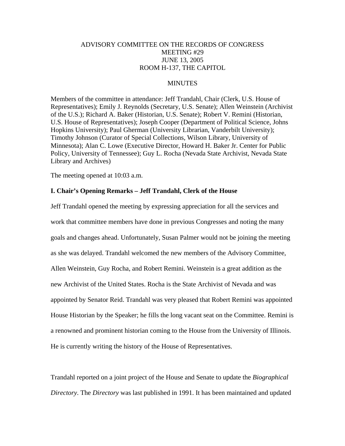# ADVISORY COMMITTEE ON THE RECORDS OF CONGRESS MEETING #29 JUNE 13, 2005 ROOM H-137, THE CAPITOL

# **MINUTES**

Members of the committee in attendance: Jeff Trandahl, Chair (Clerk, U.S. House of Representatives); Emily J. Reynolds (Secretary, U.S. Senate); Allen Weinstein (Archivist of the U.S.); Richard A. Baker (Historian, U.S. Senate); Robert V. Remini (Historian, U.S. House of Representatives); Joseph Cooper (Department of Political Science, Johns Hopkins University); Paul Gherman (University Librarian, Vanderbilt University); Timothy Johnson (Curator of Special Collections, Wilson Library, University of Minnesota); Alan C. Lowe (Executive Director, Howard H. Baker Jr. Center for Public Policy, University of Tennessee); Guy L. Rocha (Nevada State Archivist, Nevada State Library and Archives)

The meeting opened at 10:03 a.m.

# **I. Chair's Opening Remarks – Jeff Trandahl, Clerk of the House**

Jeff Trandahl opened the meeting by expressing appreciation for all the services and work that committee members have done in previous Congresses and noting the many goals and changes ahead. Unfortunately, Susan Palmer would not be joining the meeting as she was delayed. Trandahl welcomed the new members of the Advisory Committee, Allen Weinstein, Guy Rocha, and Robert Remini. Weinstein is a great addition as the new Archivist of the United States. Rocha is the State Archivist of Nevada and was appointed by Senator Reid. Trandahl was very pleased that Robert Remini was appointed House Historian by the Speaker; he fills the long vacant seat on the Committee. Remini is a renowned and prominent historian coming to the House from the University of Illinois. He is currently writing the history of the House of Representatives.

Trandahl reported on a joint project of the House and Senate to update the *Biographical Directory*. The *Directory* was last published in 1991. It has been maintained and updated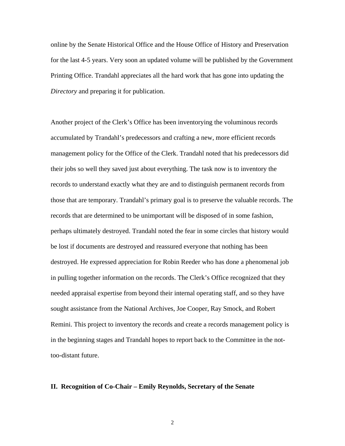online by the Senate Historical Office and the House Office of History and Preservation for the last 4-5 years. Very soon an updated volume will be published by the Government Printing Office. Trandahl appreciates all the hard work that has gone into updating the *Directory* and preparing it for publication.

Another project of the Clerk's Office has been inventorying the voluminous records accumulated by Trandahl's predecessors and crafting a new, more efficient records management policy for the Office of the Clerk. Trandahl noted that his predecessors did their jobs so well they saved just about everything. The task now is to inventory the records to understand exactly what they are and to distinguish permanent records from those that are temporary. Trandahl's primary goal is to preserve the valuable records. The records that are determined to be unimportant will be disposed of in some fashion, perhaps ultimately destroyed. Trandahl noted the fear in some circles that history would be lost if documents are destroyed and reassured everyone that nothing has been destroyed. He expressed appreciation for Robin Reeder who has done a phenomenal job in pulling together information on the records. The Clerk's Office recognized that they needed appraisal expertise from beyond their internal operating staff, and so they have sought assistance from the National Archives, Joe Cooper, Ray Smock, and Robert Remini. This project to inventory the records and create a records management policy is in the beginning stages and Trandahl hopes to report back to the Committee in the nottoo-distant future.

### **II. Recognition of Co-Chair – Emily Reynolds, Secretary of the Senate**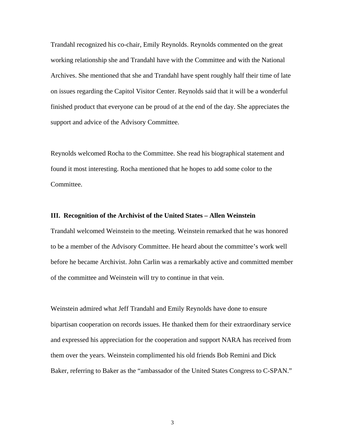Trandahl recognized his co-chair, Emily Reynolds. Reynolds commented on the great working relationship she and Trandahl have with the Committee and with the National Archives. She mentioned that she and Trandahl have spent roughly half their time of late on issues regarding the Capitol Visitor Center. Reynolds said that it will be a wonderful finished product that everyone can be proud of at the end of the day. She appreciates the support and advice of the Advisory Committee.

Reynolds welcomed Rocha to the Committee. She read his biographical statement and found it most interesting. Rocha mentioned that he hopes to add some color to the Committee.

## **III. Recognition of the Archivist of the United States – Allen Weinstein**

Trandahl welcomed Weinstein to the meeting. Weinstein remarked that he was honored to be a member of the Advisory Committee. He heard about the committee's work well before he became Archivist. John Carlin was a remarkably active and committed member of the committee and Weinstein will try to continue in that vein.

Weinstein admired what Jeff Trandahl and Emily Reynolds have done to ensure bipartisan cooperation on records issues. He thanked them for their extraordinary service and expressed his appreciation for the cooperation and support NARA has received from them over the years. Weinstein complimented his old friends Bob Remini and Dick Baker, referring to Baker as the "ambassador of the United States Congress to C-SPAN."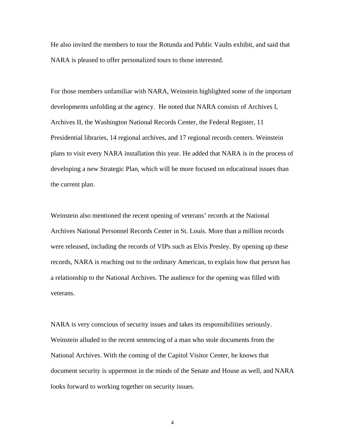He also invited the members to tour the Rotunda and Public Vaults exhibit, and said that NARA is pleased to offer personalized tours to those interested.

For those members unfamiliar with NARA, Weinstein highlighted some of the important developments unfolding at the agency. He noted that NARA consists of Archives I, Archives II, the Washington National Records Center, the Federal Register, 11 Presidential libraries, 14 regional archives, and 17 regional records centers. Weinstein plans to visit every NARA installation this year. He added that NARA is in the process of developing a new Strategic Plan, which will be more focused on educational issues than the current plan.

Weinstein also mentioned the recent opening of veterans' records at the National Archives National Personnel Records Center in St. Louis. More than a million records were released, including the records of VIPs such as Elvis Presley. By opening up these records, NARA is reaching out to the ordinary American, to explain how that person has a relationship to the National Archives. The audience for the opening was filled with veterans.

NARA is very conscious of security issues and takes its responsibilities seriously. Weinstein alluded to the recent sentencing of a man who stole documents from the National Archives. With the coming of the Capitol Visitor Center, he knows that document security is uppermost in the minds of the Senate and House as well, and NARA looks forward to working together on security issues.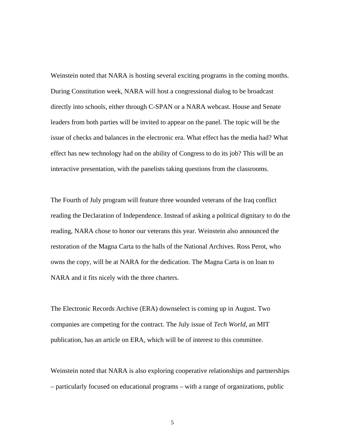Weinstein noted that NARA is hosting several exciting programs in the coming months. During Constitution week, NARA will host a congressional dialog to be broadcast directly into schools, either through C-SPAN or a NARA webcast. House and Senate leaders from both parties will be invited to appear on the panel. The topic will be the issue of checks and balances in the electronic era. What effect has the media had? What effect has new technology had on the ability of Congress to do its job? This will be an interactive presentation, with the panelists taking questions from the classrooms.

The Fourth of July program will feature three wounded veterans of the Iraq conflict reading the Declaration of Independence. Instead of asking a political dignitary to do the reading, NARA chose to honor our veterans this year. Weinstein also announced the restoration of the Magna Carta to the halls of the National Archives. Ross Perot, who owns the copy, will be at NARA for the dedication. The Magna Carta is on loan to NARA and it fits nicely with the three charters.

The Electronic Records Archive (ERA) downselect is coming up in August. Two companies are competing for the contract. The July issue of *Tech World*, an MIT publication, has an article on ERA, which will be of interest to this committee.

Weinstein noted that NARA is also exploring cooperative relationships and partnerships – particularly focused on educational programs – with a range of organizations, public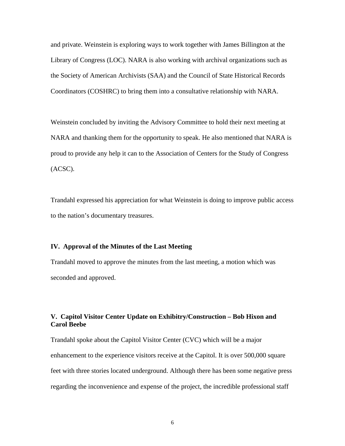and private. Weinstein is exploring ways to work together with James Billington at the Library of Congress (LOC). NARA is also working with archival organizations such as the Society of American Archivists (SAA) and the Council of State Historical Records Coordinators (COSHRC) to bring them into a consultative relationship with NARA.

Weinstein concluded by inviting the Advisory Committee to hold their next meeting at NARA and thanking them for the opportunity to speak. He also mentioned that NARA is proud to provide any help it can to the Association of Centers for the Study of Congress (ACSC).

Trandahl expressed his appreciation for what Weinstein is doing to improve public access to the nation's documentary treasures.

## **IV. Approval of the Minutes of the Last Meeting**

Trandahl moved to approve the minutes from the last meeting, a motion which was seconded and approved.

# **V. Capitol Visitor Center Update on Exhibitry/Construction – Bob Hixon and Carol Beebe**

Trandahl spoke about the Capitol Visitor Center (CVC) which will be a major enhancement to the experience visitors receive at the Capitol. It is over 500,000 square feet with three stories located underground. Although there has been some negative press regarding the inconvenience and expense of the project, the incredible professional staff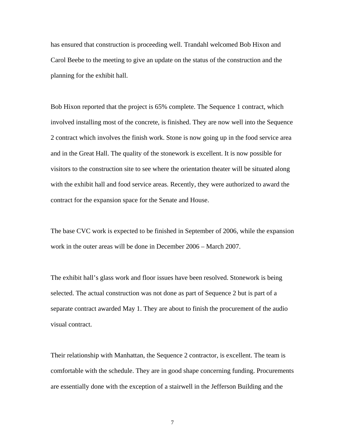has ensured that construction is proceeding well. Trandahl welcomed Bob Hixon and Carol Beebe to the meeting to give an update on the status of the construction and the planning for the exhibit hall.

Bob Hixon reported that the project is 65% complete. The Sequence 1 contract, which involved installing most of the concrete, is finished. They are now well into the Sequence 2 contract which involves the finish work. Stone is now going up in the food service area and in the Great Hall. The quality of the stonework is excellent. It is now possible for visitors to the construction site to see where the orientation theater will be situated along with the exhibit hall and food service areas. Recently, they were authorized to award the contract for the expansion space for the Senate and House.

The base CVC work is expected to be finished in September of 2006, while the expansion work in the outer areas will be done in December 2006 – March 2007.

The exhibit hall's glass work and floor issues have been resolved. Stonework is being selected. The actual construction was not done as part of Sequence 2 but is part of a separate contract awarded May 1. They are about to finish the procurement of the audio visual contract.

Their relationship with Manhattan, the Sequence 2 contractor, is excellent. The team is comfortable with the schedule. They are in good shape concerning funding. Procurements are essentially done with the exception of a stairwell in the Jefferson Building and the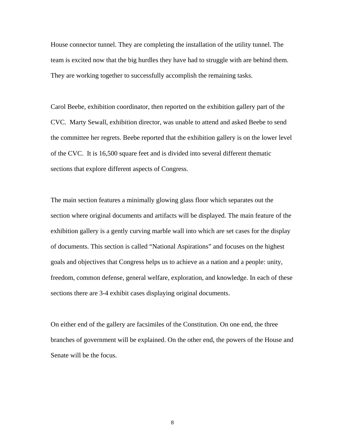House connector tunnel. They are completing the installation of the utility tunnel. The team is excited now that the big hurdles they have had to struggle with are behind them. They are working together to successfully accomplish the remaining tasks.

Carol Beebe, exhibition coordinator, then reported on the exhibition gallery part of the CVC. Marty Sewall, exhibition director, was unable to attend and asked Beebe to send the committee her regrets. Beebe reported that the exhibition gallery is on the lower level of the CVC. It is 16,500 square feet and is divided into several different thematic sections that explore different aspects of Congress.

The main section features a minimally glowing glass floor which separates out the section where original documents and artifacts will be displayed. The main feature of the exhibition gallery is a gently curving marble wall into which are set cases for the display of documents. This section is called "National Aspirations" and focuses on the highest goals and objectives that Congress helps us to achieve as a nation and a people: unity, freedom, common defense, general welfare, exploration, and knowledge. In each of these sections there are 3-4 exhibit cases displaying original documents.

On either end of the gallery are facsimiles of the Constitution. On one end, the three branches of government will be explained. On the other end, the powers of the House and Senate will be the focus.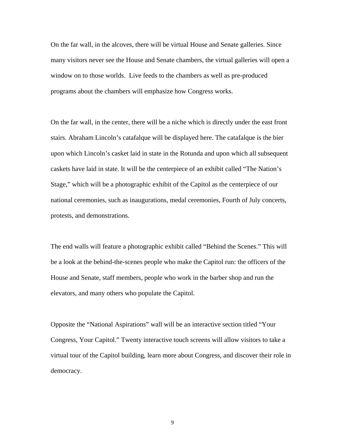On the far wall, in the alcoves, there will be virtual House and Senate galleries. Since many visitors never see the House and Senate chambers, the virtual galleries will open a window on to those worlds. Live feeds to the chambers as well as pre-produced programs about the chambers will emphasize how Congress works.

On the far wall, in the center, there will be a niche which is directly under the east front stairs. Abraham Lincoln's catafalque will be displayed here. The catafalque is the bier upon which Lincoln's casket laid in state in the Rotunda and upon which all subsequent caskets have laid in state. It will be the centerpiece of an exhibit called "The Nation's Stage," which will be a photographic exhibit of the Capitol as the centerpiece of our national ceremonies, such as inaugurations, medal ceremonies, Fourth of July concerts, protests, and demonstrations.

The end walls will feature a photographic exhibit called "Behind the Scenes." This will be a look at the behind-the-scenes people who make the Capitol run: the officers of the House and Senate, staff members, people who work in the barber shop and run the elevators, and many others who populate the Capitol.

Opposite the "National Aspirations" wall will be an interactive section titled "Your Congress, Your Capitol." Twenty interactive touch screens will allow visitors to take a virtual tour of the Capitol building, learn more about Congress, and discover their role in democracy.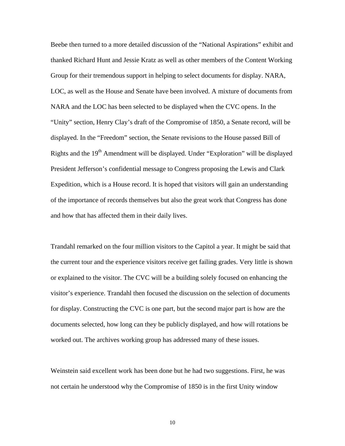Beebe then turned to a more detailed discussion of the "National Aspirations" exhibit and thanked Richard Hunt and Jessie Kratz as well as other members of the Content Working Group for their tremendous support in helping to select documents for display. NARA, LOC, as well as the House and Senate have been involved. A mixture of documents from NARA and the LOC has been selected to be displayed when the CVC opens. In the "Unity" section, Henry Clay's draft of the Compromise of 1850, a Senate record, will be displayed. In the "Freedom" section, the Senate revisions to the House passed Bill of Rights and the 19<sup>th</sup> Amendment will be displayed. Under "Exploration" will be displayed President Jefferson's confidential message to Congress proposing the Lewis and Clark Expedition, which is a House record. It is hoped that visitors will gain an understanding of the importance of records themselves but also the great work that Congress has done and how that has affected them in their daily lives.

Trandahl remarked on the four million visitors to the Capitol a year. It might be said that the current tour and the experience visitors receive get failing grades. Very little is shown or explained to the visitor. The CVC will be a building solely focused on enhancing the visitor's experience. Trandahl then focused the discussion on the selection of documents for display. Constructing the CVC is one part, but the second major part is how are the documents selected, how long can they be publicly displayed, and how will rotations be worked out. The archives working group has addressed many of these issues.

Weinstein said excellent work has been done but he had two suggestions. First, he was not certain he understood why the Compromise of 1850 is in the first Unity window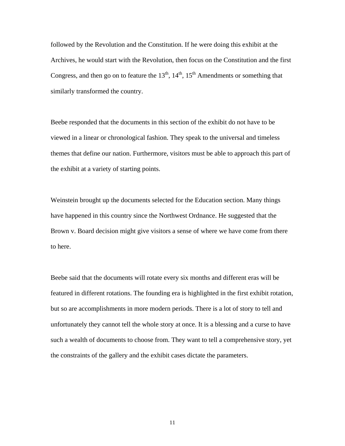followed by the Revolution and the Constitution. If he were doing this exhibit at the Archives, he would start with the Revolution, then focus on the Constitution and the first Congress, and then go on to feature the  $13<sup>th</sup>$ ,  $14<sup>th</sup>$ ,  $15<sup>th</sup>$  Amendments or something that similarly transformed the country.

Beebe responded that the documents in this section of the exhibit do not have to be viewed in a linear or chronological fashion. They speak to the universal and timeless themes that define our nation. Furthermore, visitors must be able to approach this part of the exhibit at a variety of starting points.

Weinstein brought up the documents selected for the Education section. Many things have happened in this country since the Northwest Ordnance. He suggested that the Brown v. Board decision might give visitors a sense of where we have come from there to here.

Beebe said that the documents will rotate every six months and different eras will be featured in different rotations. The founding era is highlighted in the first exhibit rotation, but so are accomplishments in more modern periods. There is a lot of story to tell and unfortunately they cannot tell the whole story at once. It is a blessing and a curse to have such a wealth of documents to choose from. They want to tell a comprehensive story, yet the constraints of the gallery and the exhibit cases dictate the parameters.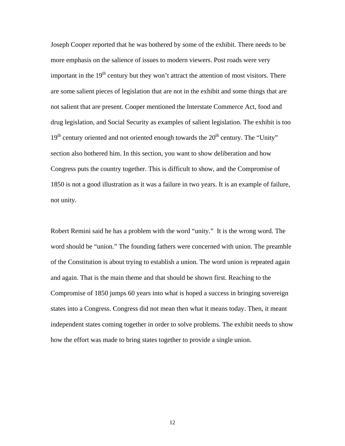Joseph Cooper reported that he was bothered by some of the exhibit. There needs to be more emphasis on the salience of issues to modern viewers. Post roads were very important in the  $19<sup>th</sup>$  century but they won't attract the attention of most visitors. There are some salient pieces of legislation that are not in the exhibit and some things that are not salient that are present. Cooper mentioned the Interstate Commerce Act, food and drug legislation, and Social Security as examples of salient legislation. The exhibit is too  $19<sup>th</sup>$  century oriented and not oriented enough towards the  $20<sup>th</sup>$  century. The "Unity" section also bothered him. In this section, you want to show deliberation and how Congress puts the country together. This is difficult to show, and the Compromise of 1850 is not a good illustration as it was a failure in two years. It is an example of failure, not unity.

Robert Remini said he has a problem with the word "unity." It is the wrong word. The word should be "union." The founding fathers were concerned with union. The preamble of the Constitution is about trying to establish a union. The word union is repeated again and again. That is the main theme and that should be shown first. Reaching to the Compromise of 1850 jumps 60 years into what is hoped a success in bringing sovereign states into a Congress. Congress did not mean then what it means today. Then, it meant independent states coming together in order to solve problems. The exhibit needs to show how the effort was made to bring states together to provide a single union.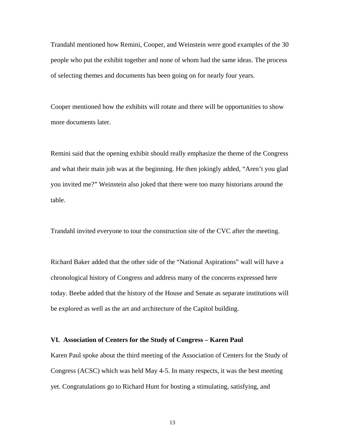Trandahl mentioned how Remini, Cooper, and Weinstein were good examples of the 30 people who put the exhibit together and none of whom had the same ideas. The process of selecting themes and documents has been going on for nearly four years.

Cooper mentioned how the exhibits will rotate and there will be opportunities to show more documents later.

Remini said that the opening exhibit should really emphasize the theme of the Congress and what their main job was at the beginning. He then jokingly added, "Aren't you glad you invited me?" Weinstein also joked that there were too many historians around the table.

Trandahl invited everyone to tour the construction site of the CVC after the meeting.

Richard Baker added that the other side of the "National Aspirations" wall will have a chronological history of Congress and address many of the concerns expressed here today. Beebe added that the history of the House and Senate as separate institutions will be explored as well as the art and architecture of the Capitol building.

## **VI. Association of Centers for the Study of Congress – Karen Paul**

Karen Paul spoke about the third meeting of the Association of Centers for the Study of Congress (ACSC) which was held May 4-5. In many respects, it was the best meeting yet. Congratulations go to Richard Hunt for hosting a stimulating, satisfying, and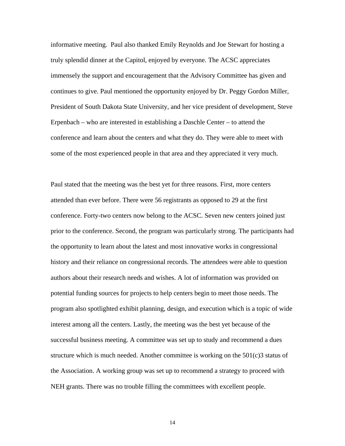informative meeting. Paul also thanked Emily Reynolds and Joe Stewart for hosting a truly splendid dinner at the Capitol, enjoyed by everyone. The ACSC appreciates immensely the support and encouragement that the Advisory Committee has given and continues to give. Paul mentioned the opportunity enjoyed by Dr. Peggy Gordon Miller, President of South Dakota State University, and her vice president of development, Steve Erpenbach – who are interested in establishing a Daschle Center – to attend the conference and learn about the centers and what they do. They were able to meet with some of the most experienced people in that area and they appreciated it very much.

Paul stated that the meeting was the best yet for three reasons. First, more centers attended than ever before. There were 56 registrants as opposed to 29 at the first conference. Forty-two centers now belong to the ACSC. Seven new centers joined just prior to the conference. Second, the program was particularly strong. The participants had the opportunity to learn about the latest and most innovative works in congressional history and their reliance on congressional records. The attendees were able to question authors about their research needs and wishes. A lot of information was provided on potential funding sources for projects to help centers begin to meet those needs. The program also spotlighted exhibit planning, design, and execution which is a topic of wide interest among all the centers. Lastly, the meeting was the best yet because of the successful business meeting. A committee was set up to study and recommend a dues structure which is much needed. Another committee is working on the  $501(c)3$  status of the Association. A working group was set up to recommend a strategy to proceed with NEH grants. There was no trouble filling the committees with excellent people.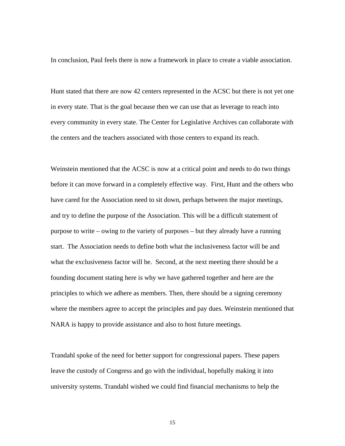In conclusion, Paul feels there is now a framework in place to create a viable association.

Hunt stated that there are now 42 centers represented in the ACSC but there is not yet one in every state. That is the goal because then we can use that as leverage to reach into every community in every state. The Center for Legislative Archives can collaborate with the centers and the teachers associated with those centers to expand its reach.

Weinstein mentioned that the ACSC is now at a critical point and needs to do two things before it can move forward in a completely effective way. First, Hunt and the others who have cared for the Association need to sit down, perhaps between the major meetings, and try to define the purpose of the Association. This will be a difficult statement of purpose to write – owing to the variety of purposes – but they already have a running start. The Association needs to define both what the inclusiveness factor will be and what the exclusiveness factor will be. Second, at the next meeting there should be a founding document stating here is why we have gathered together and here are the principles to which we adhere as members. Then, there should be a signing ceremony where the members agree to accept the principles and pay dues. Weinstein mentioned that NARA is happy to provide assistance and also to host future meetings.

Trandahl spoke of the need for better support for congressional papers. These papers leave the custody of Congress and go with the individual, hopefully making it into university systems. Trandahl wished we could find financial mechanisms to help the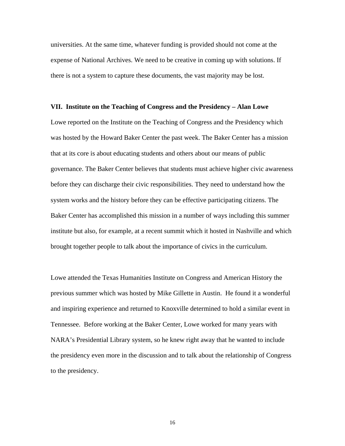universities. At the same time, whatever funding is provided should not come at the expense of National Archives. We need to be creative in coming up with solutions. If there is not a system to capture these documents, the vast majority may be lost.

## **VII. Institute on the Teaching of Congress and the Presidency – Alan Lowe**

Lowe reported on the Institute on the Teaching of Congress and the Presidency which was hosted by the Howard Baker Center the past week. The Baker Center has a mission that at its core is about educating students and others about our means of public governance. The Baker Center believes that students must achieve higher civic awareness before they can discharge their civic responsibilities. They need to understand how the system works and the history before they can be effective participating citizens. The Baker Center has accomplished this mission in a number of ways including this summer institute but also, for example, at a recent summit which it hosted in Nashville and which brought together people to talk about the importance of civics in the curriculum.

Lowe attended the Texas Humanities Institute on Congress and American History the previous summer which was hosted by Mike Gillette in Austin. He found it a wonderful and inspiring experience and returned to Knoxville determined to hold a similar event in Tennessee. Before working at the Baker Center, Lowe worked for many years with NARA's Presidential Library system, so he knew right away that he wanted to include the presidency even more in the discussion and to talk about the relationship of Congress to the presidency.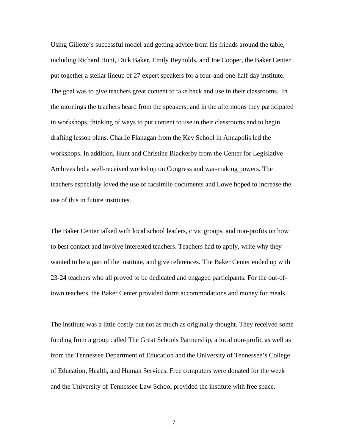Using Gillette's successful model and getting advice from his friends around the table, including Richard Hunt, Dick Baker, Emily Reynolds, and Joe Cooper, the Baker Center put together a stellar lineup of 27 expert speakers for a four-and-one-half day institute. The goal was to give teachers great content to take back and use in their classrooms. In the mornings the teachers heard from the speakers, and in the afternoons they participated in workshops, thinking of ways to put content to use in their classrooms and to begin drafting lesson plans. Charlie Flanagan from the Key School in Annapolis led the workshops. In addition, Hunt and Christine Blackerby from the Center for Legislative Archives led a well-received workshop on Congress and war-making powers. The teachers especially loved the use of facsimile documents and Lowe hoped to increase the use of this in future institutes.

The Baker Center talked with local school leaders, civic groups, and non-profits on how to best contact and involve interested teachers. Teachers had to apply, write why they wanted to be a part of the institute, and give references. The Baker Center ended up with 23-24 teachers who all proved to be dedicated and engaged participants. For the out-oftown teachers, the Baker Center provided dorm accommodations and money for meals.

The institute was a little costly but not as much as originally thought. They received some funding from a group called The Great Schools Partnership, a local non-profit, as well as from the Tennessee Department of Education and the University of Tennessee's College of Education, Health, and Human Services. Free computers were donated for the week and the University of Tennessee Law School provided the institute with free space.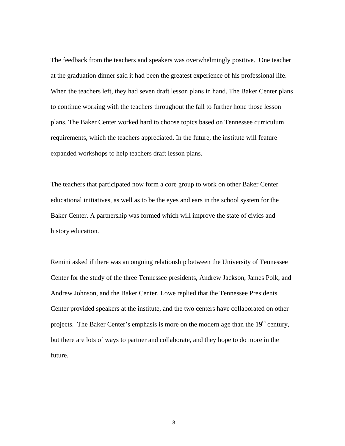The feedback from the teachers and speakers was overwhelmingly positive. One teacher at the graduation dinner said it had been the greatest experience of his professional life. When the teachers left, they had seven draft lesson plans in hand. The Baker Center plans to continue working with the teachers throughout the fall to further hone those lesson plans. The Baker Center worked hard to choose topics based on Tennessee curriculum requirements, which the teachers appreciated. In the future, the institute will feature expanded workshops to help teachers draft lesson plans.

The teachers that participated now form a core group to work on other Baker Center educational initiatives, as well as to be the eyes and ears in the school system for the Baker Center. A partnership was formed which will improve the state of civics and history education.

Remini asked if there was an ongoing relationship between the University of Tennessee Center for the study of the three Tennessee presidents, Andrew Jackson, James Polk, and Andrew Johnson, and the Baker Center. Lowe replied that the Tennessee Presidents Center provided speakers at the institute, and the two centers have collaborated on other projects. The Baker Center's emphasis is more on the modern age than the 19<sup>th</sup> century, but there are lots of ways to partner and collaborate, and they hope to do more in the future.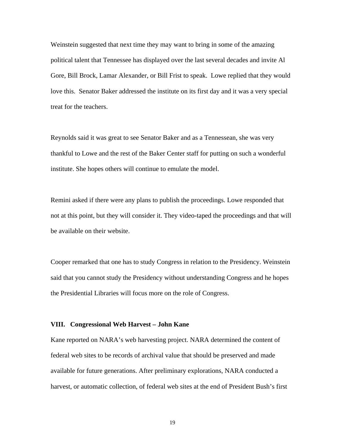Weinstein suggested that next time they may want to bring in some of the amazing political talent that Tennessee has displayed over the last several decades and invite Al Gore, Bill Brock, Lamar Alexander, or Bill Frist to speak. Lowe replied that they would love this. Senator Baker addressed the institute on its first day and it was a very special treat for the teachers.

Reynolds said it was great to see Senator Baker and as a Tennessean, she was very thankful to Lowe and the rest of the Baker Center staff for putting on such a wonderful institute. She hopes others will continue to emulate the model.

Remini asked if there were any plans to publish the proceedings. Lowe responded that not at this point, but they will consider it. They video-taped the proceedings and that will be available on their website.

Cooper remarked that one has to study Congress in relation to the Presidency. Weinstein said that you cannot study the Presidency without understanding Congress and he hopes the Presidential Libraries will focus more on the role of Congress.

### **VIII. Congressional Web Harvest – John Kane**

Kane reported on NARA's web harvesting project. NARA determined the content of federal web sites to be records of archival value that should be preserved and made available for future generations. After preliminary explorations, NARA conducted a harvest, or automatic collection, of federal web sites at the end of President Bush's first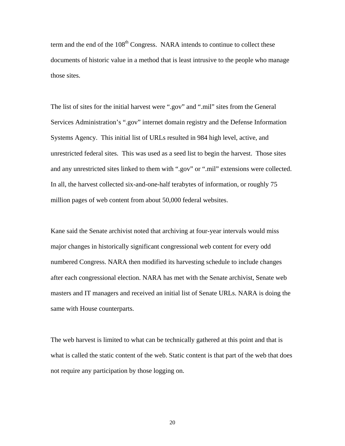term and the end of the 108<sup>th</sup> Congress. NARA intends to continue to collect these documents of historic value in a method that is least intrusive to the people who manage those sites.

The list of sites for the initial harvest were ".gov" and ".mil" sites from the General Services Administration's ".gov" internet domain registry and the Defense Information Systems Agency. This initial list of URLs resulted in 984 high level, active, and unrestricted federal sites. This was used as a seed list to begin the harvest. Those sites and any unrestricted sites linked to them with ".gov" or ".mil" extensions were collected. In all, the harvest collected six-and-one-half terabytes of information, or roughly 75 million pages of web content from about 50,000 federal websites.

Kane said the Senate archivist noted that archiving at four-year intervals would miss major changes in historically significant congressional web content for every odd numbered Congress. NARA then modified its harvesting schedule to include changes after each congressional election. NARA has met with the Senate archivist, Senate web masters and IT managers and received an initial list of Senate URLs. NARA is doing the same with House counterparts.

The web harvest is limited to what can be technically gathered at this point and that is what is called the static content of the web. Static content is that part of the web that does not require any participation by those logging on.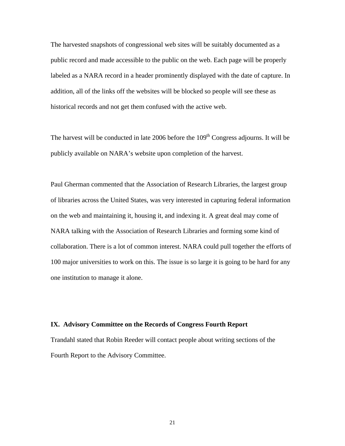The harvested snapshots of congressional web sites will be suitably documented as a public record and made accessible to the public on the web. Each page will be properly labeled as a NARA record in a header prominently displayed with the date of capture. In addition, all of the links off the websites will be blocked so people will see these as historical records and not get them confused with the active web.

The harvest will be conducted in late 2006 before the  $109<sup>th</sup>$  Congress adjourns. It will be publicly available on NARA's website upon completion of the harvest.

Paul Gherman commented that the Association of Research Libraries, the largest group of libraries across the United States, was very interested in capturing federal information on the web and maintaining it, housing it, and indexing it. A great deal may come of NARA talking with the Association of Research Libraries and forming some kind of collaboration. There is a lot of common interest. NARA could pull together the efforts of 100 major universities to work on this. The issue is so large it is going to be hard for any one institution to manage it alone.

### **IX. Advisory Committee on the Records of Congress Fourth Report**

Trandahl stated that Robin Reeder will contact people about writing sections of the Fourth Report to the Advisory Committee.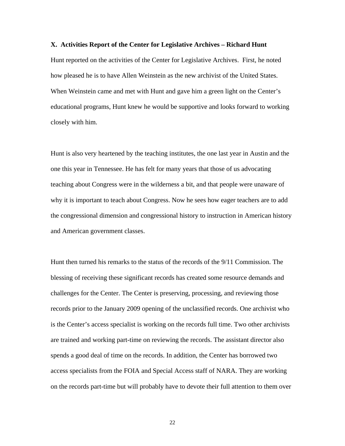### **X. Activities Report of the Center for Legislative Archives – Richard Hunt**

Hunt reported on the activities of the Center for Legislative Archives. First, he noted how pleased he is to have Allen Weinstein as the new archivist of the United States. When Weinstein came and met with Hunt and gave him a green light on the Center's educational programs, Hunt knew he would be supportive and looks forward to working closely with him.

Hunt is also very heartened by the teaching institutes, the one last year in Austin and the one this year in Tennessee. He has felt for many years that those of us advocating teaching about Congress were in the wilderness a bit, and that people were unaware of why it is important to teach about Congress. Now he sees how eager teachers are to add the congressional dimension and congressional history to instruction in American history and American government classes.

Hunt then turned his remarks to the status of the records of the 9/11 Commission. The blessing of receiving these significant records has created some resource demands and challenges for the Center. The Center is preserving, processing, and reviewing those records prior to the January 2009 opening of the unclassified records. One archivist who is the Center's access specialist is working on the records full time. Two other archivists are trained and working part-time on reviewing the records. The assistant director also spends a good deal of time on the records. In addition, the Center has borrowed two access specialists from the FOIA and Special Access staff of NARA. They are working on the records part-time but will probably have to devote their full attention to them over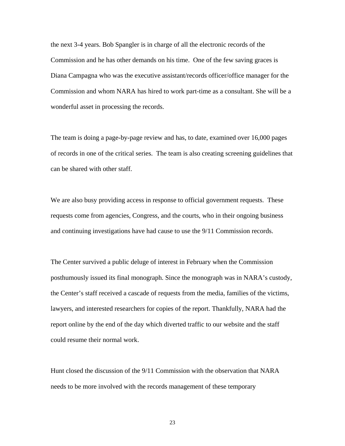the next 3-4 years. Bob Spangler is in charge of all the electronic records of the Commission and he has other demands on his time. One of the few saving graces is Diana Campagna who was the executive assistant/records officer/office manager for the Commission and whom NARA has hired to work part-time as a consultant. She will be a wonderful asset in processing the records.

The team is doing a page-by-page review and has, to date, examined over 16,000 pages of records in one of the critical series. The team is also creating screening guidelines that can be shared with other staff.

We are also busy providing access in response to official government requests. These requests come from agencies, Congress, and the courts, who in their ongoing business and continuing investigations have had cause to use the 9/11 Commission records.

The Center survived a public deluge of interest in February when the Commission posthumously issued its final monograph. Since the monograph was in NARA's custody, the Center's staff received a cascade of requests from the media, families of the victims, lawyers, and interested researchers for copies of the report. Thankfully, NARA had the report online by the end of the day which diverted traffic to our website and the staff could resume their normal work.

Hunt closed the discussion of the 9/11 Commission with the observation that NARA needs to be more involved with the records management of these temporary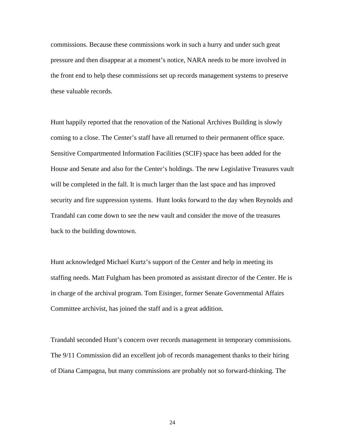commissions. Because these commissions work in such a hurry and under such great pressure and then disappear at a moment's notice, NARA needs to be more involved in the front end to help these commissions set up records management systems to preserve these valuable records.

Hunt happily reported that the renovation of the National Archives Building is slowly coming to a close. The Center's staff have all returned to their permanent office space. [Sensitive Compartmented Information Facilities \(SCIF\)](http://www.wasc.noaa.gov/wrso/briefings/Scif.ppt) space has been added for the House and Senate and also for the Center's holdings. The new Legislative Treasures vault will be completed in the fall. It is much larger than the last space and has improved security and fire suppression systems. Hunt looks forward to the day when Reynolds and Trandahl can come down to see the new vault and consider the move of the treasures back to the building downtown.

Hunt acknowledged Michael Kurtz's support of the Center and help in meeting its staffing needs. Matt Fulgham has been promoted as assistant director of the Center. He is in charge of the archival program. Tom Eisinger, former Senate Governmental Affairs Committee archivist, has joined the staff and is a great addition.

Trandahl seconded Hunt's concern over records management in temporary commissions. The 9/11 Commission did an excellent job of records management thanks to their hiring of Diana Campagna, but many commissions are probably not so forward-thinking. The